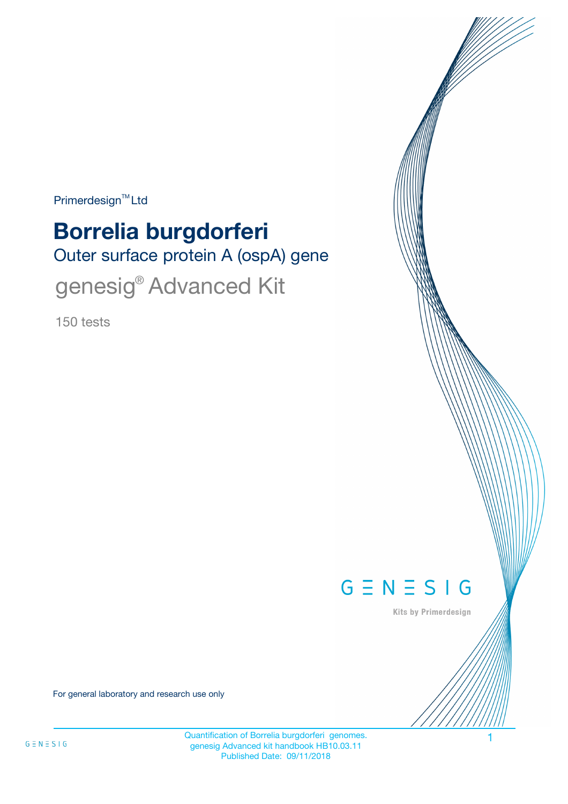Primerdesign<sup>™</sup>Ltd

# Outer surface protein A (ospA) gene **Borrelia burgdorferi** genesig<sup>®</sup> Advanced Kit

150 tests



Kits by Primerdesign

For general laboratory and research use only

Quantification of Borrelia burgdorferi genomes. 1 genesig Advanced kit handbook HB10.03.11 Published Date: 09/11/2018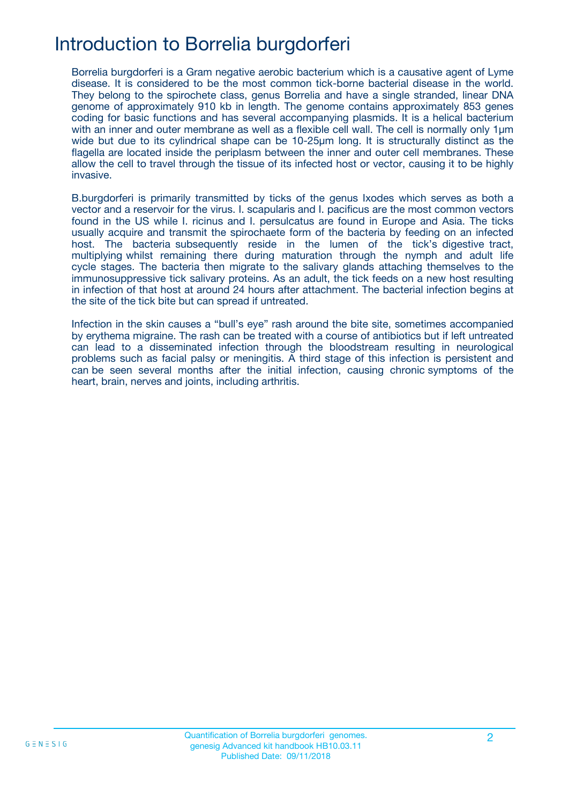## Introduction to Borrelia burgdorferi

Borrelia burgdorferi is a Gram negative aerobic bacterium which is a causative agent of Lyme disease. It is considered to be the most common tick-borne bacterial disease in the world. They belong to the spirochete class, genus Borrelia and have a single stranded, linear DNA genome of approximately 910 kb in length. The genome contains approximately 853 genes coding for basic functions and has several accompanying plasmids. It is a helical bacterium with an inner and outer membrane as well as a flexible cell wall. The cell is normally only  $1\mu$ m wide but due to its cylindrical shape can be 10-25µm long. It is structurally distinct as the flagella are located inside the periplasm between the inner and outer cell membranes. These allow the cell to travel through the tissue of its infected host or vector, causing it to be highly invasive.

B.burgdorferi is primarily transmitted by ticks of the genus Ixodes which serves as both a vector and a reservoir for the virus. I. scapularis and I. pacificus are the most common vectors found in the US while I. ricinus and I. persulcatus are found in Europe and Asia. The ticks usually acquire and transmit the spirochaete form of the bacteria by feeding on an infected host. The bacteria subsequently reside in the lumen of the tick's digestive tract, multiplying whilst remaining there during maturation through the nymph and adult life cycle stages. The bacteria then migrate to the salivary glands attaching themselves to the immunosuppressive tick salivary proteins. As an adult, the tick feeds on a new host resulting in infection of that host at around 24 hours after attachment. The bacterial infection begins at the site of the tick bite but can spread if untreated.

Infection in the skin causes a "bull's eye" rash around the bite site, sometimes accompanied by erythema migraine. The rash can be treated with a course of antibiotics but if left untreated can lead to a disseminated infection through the bloodstream resulting in neurological problems such as facial palsy or meningitis. A third stage of this infection is persistent and can be seen several months after the initial infection, causing chronic symptoms of the heart, brain, nerves and joints, including arthritis.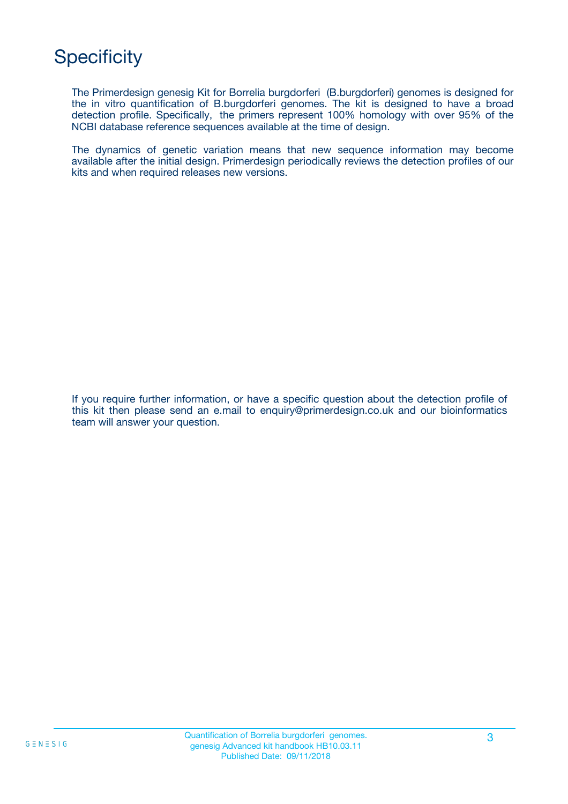## **Specificity**

The Primerdesign genesig Kit for Borrelia burgdorferi (B.burgdorferi) genomes is designed for the in vitro quantification of B.burgdorferi genomes. The kit is designed to have a broad detection profile. Specifically, the primers represent 100% homology with over 95% of the NCBI database reference sequences available at the time of design.

The dynamics of genetic variation means that new sequence information may become available after the initial design. Primerdesign periodically reviews the detection profiles of our kits and when required releases new versions.

If you require further information, or have a specific question about the detection profile of this kit then please send an e.mail to enquiry@primerdesign.co.uk and our bioinformatics team will answer your question.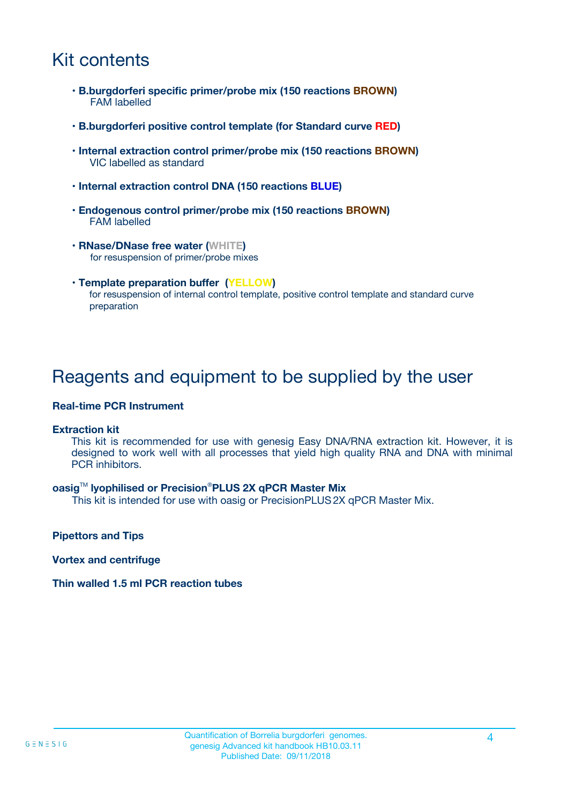## Kit contents

- **B.burgdorferi specific primer/probe mix (150 reactions BROWN)** FAM labelled
- **B.burgdorferi positive control template (for Standard curve RED)**
- **Internal extraction control primer/probe mix (150 reactions BROWN)** VIC labelled as standard
- **Internal extraction control DNA (150 reactions BLUE)**
- **Endogenous control primer/probe mix (150 reactions BROWN)** FAM labelled
- **RNase/DNase free water (WHITE)** for resuspension of primer/probe mixes
- **Template preparation buffer (YELLOW)** for resuspension of internal control template, positive control template and standard curve preparation

### Reagents and equipment to be supplied by the user

#### **Real-time PCR Instrument**

#### **Extraction kit**

This kit is recommended for use with genesig Easy DNA/RNA extraction kit. However, it is designed to work well with all processes that yield high quality RNA and DNA with minimal PCR inhibitors.

#### **oasig**TM **lyophilised or Precision**®**PLUS 2X qPCR Master Mix**

This kit is intended for use with oasig or PrecisionPLUS2X qPCR Master Mix.

**Pipettors and Tips**

**Vortex and centrifuge**

#### **Thin walled 1.5 ml PCR reaction tubes**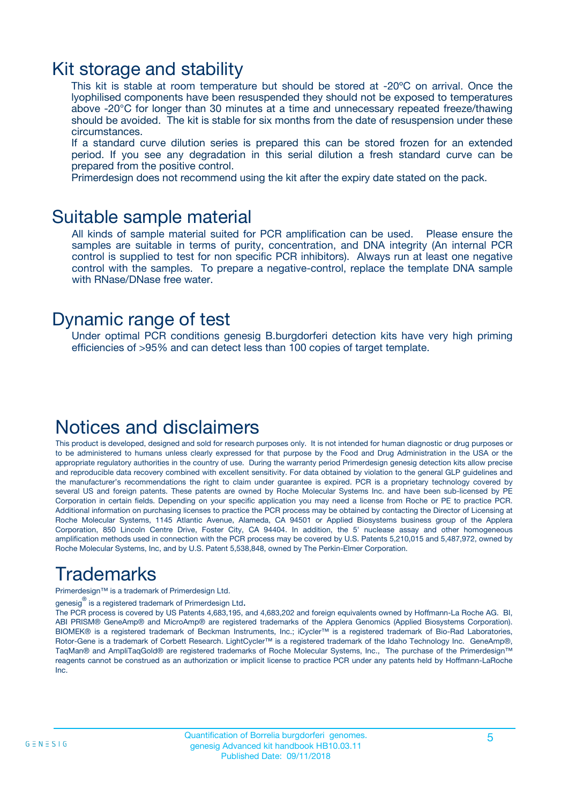### Kit storage and stability

This kit is stable at room temperature but should be stored at -20ºC on arrival. Once the lyophilised components have been resuspended they should not be exposed to temperatures above -20°C for longer than 30 minutes at a time and unnecessary repeated freeze/thawing should be avoided. The kit is stable for six months from the date of resuspension under these circumstances.

If a standard curve dilution series is prepared this can be stored frozen for an extended period. If you see any degradation in this serial dilution a fresh standard curve can be prepared from the positive control.

Primerdesign does not recommend using the kit after the expiry date stated on the pack.

### Suitable sample material

All kinds of sample material suited for PCR amplification can be used. Please ensure the samples are suitable in terms of purity, concentration, and DNA integrity (An internal PCR control is supplied to test for non specific PCR inhibitors). Always run at least one negative control with the samples. To prepare a negative-control, replace the template DNA sample with RNase/DNase free water.

### Dynamic range of test

Under optimal PCR conditions genesig B.burgdorferi detection kits have very high priming efficiencies of >95% and can detect less than 100 copies of target template.

### Notices and disclaimers

This product is developed, designed and sold for research purposes only. It is not intended for human diagnostic or drug purposes or to be administered to humans unless clearly expressed for that purpose by the Food and Drug Administration in the USA or the appropriate regulatory authorities in the country of use. During the warranty period Primerdesign genesig detection kits allow precise and reproducible data recovery combined with excellent sensitivity. For data obtained by violation to the general GLP guidelines and the manufacturer's recommendations the right to claim under guarantee is expired. PCR is a proprietary technology covered by several US and foreign patents. These patents are owned by Roche Molecular Systems Inc. and have been sub-licensed by PE Corporation in certain fields. Depending on your specific application you may need a license from Roche or PE to practice PCR. Additional information on purchasing licenses to practice the PCR process may be obtained by contacting the Director of Licensing at Roche Molecular Systems, 1145 Atlantic Avenue, Alameda, CA 94501 or Applied Biosystems business group of the Applera Corporation, 850 Lincoln Centre Drive, Foster City, CA 94404. In addition, the 5' nuclease assay and other homogeneous amplification methods used in connection with the PCR process may be covered by U.S. Patents 5,210,015 and 5,487,972, owned by Roche Molecular Systems, Inc, and by U.S. Patent 5,538,848, owned by The Perkin-Elmer Corporation.

## Trademarks

Primerdesign™ is a trademark of Primerdesign Ltd.

genesig $^\circledR$  is a registered trademark of Primerdesign Ltd.

The PCR process is covered by US Patents 4,683,195, and 4,683,202 and foreign equivalents owned by Hoffmann-La Roche AG. BI, ABI PRISM® GeneAmp® and MicroAmp® are registered trademarks of the Applera Genomics (Applied Biosystems Corporation). BIOMEK® is a registered trademark of Beckman Instruments, Inc.; iCycler™ is a registered trademark of Bio-Rad Laboratories, Rotor-Gene is a trademark of Corbett Research. LightCycler™ is a registered trademark of the Idaho Technology Inc. GeneAmp®, TaqMan® and AmpliTaqGold® are registered trademarks of Roche Molecular Systems, Inc., The purchase of the Primerdesign™ reagents cannot be construed as an authorization or implicit license to practice PCR under any patents held by Hoffmann-LaRoche Inc.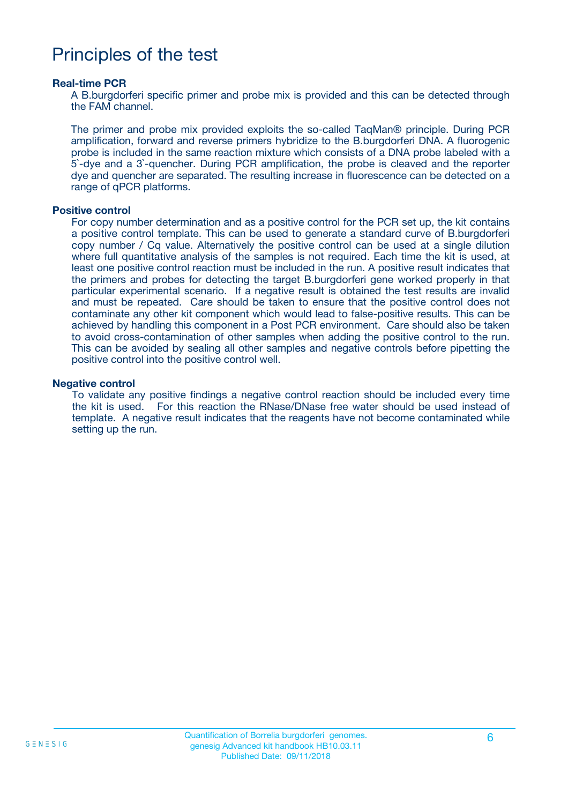### Principles of the test

#### **Real-time PCR**

A B.burgdorferi specific primer and probe mix is provided and this can be detected through the FAM channel.

The primer and probe mix provided exploits the so-called TaqMan® principle. During PCR amplification, forward and reverse primers hybridize to the B.burgdorferi DNA. A fluorogenic probe is included in the same reaction mixture which consists of a DNA probe labeled with a 5`-dye and a 3`-quencher. During PCR amplification, the probe is cleaved and the reporter dye and quencher are separated. The resulting increase in fluorescence can be detected on a range of qPCR platforms.

#### **Positive control**

For copy number determination and as a positive control for the PCR set up, the kit contains a positive control template. This can be used to generate a standard curve of B.burgdorferi copy number / Cq value. Alternatively the positive control can be used at a single dilution where full quantitative analysis of the samples is not required. Each time the kit is used, at least one positive control reaction must be included in the run. A positive result indicates that the primers and probes for detecting the target B.burgdorferi gene worked properly in that particular experimental scenario. If a negative result is obtained the test results are invalid and must be repeated. Care should be taken to ensure that the positive control does not contaminate any other kit component which would lead to false-positive results. This can be achieved by handling this component in a Post PCR environment. Care should also be taken to avoid cross-contamination of other samples when adding the positive control to the run. This can be avoided by sealing all other samples and negative controls before pipetting the positive control into the positive control well.

#### **Negative control**

To validate any positive findings a negative control reaction should be included every time the kit is used. For this reaction the RNase/DNase free water should be used instead of template. A negative result indicates that the reagents have not become contaminated while setting up the run.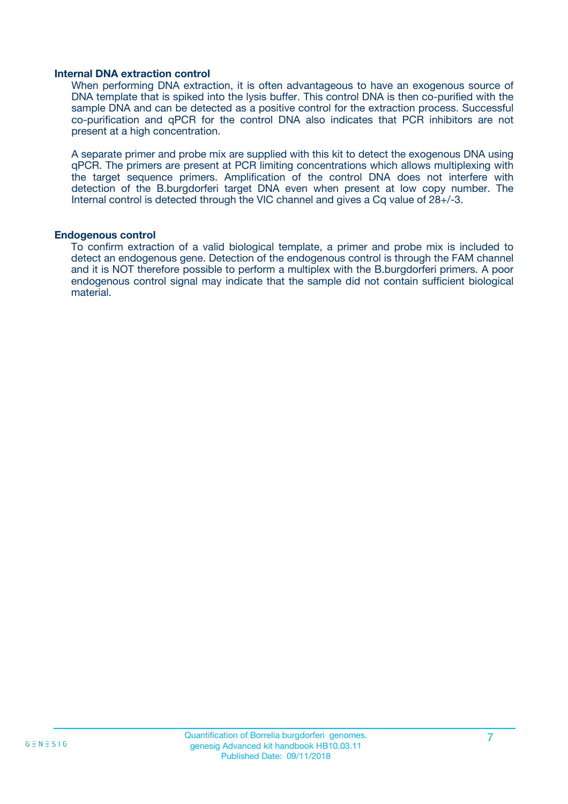#### **Internal DNA extraction control**

When performing DNA extraction, it is often advantageous to have an exogenous source of DNA template that is spiked into the lysis buffer. This control DNA is then co-purified with the sample DNA and can be detected as a positive control for the extraction process. Successful co-purification and qPCR for the control DNA also indicates that PCR inhibitors are not present at a high concentration.

A separate primer and probe mix are supplied with this kit to detect the exogenous DNA using qPCR. The primers are present at PCR limiting concentrations which allows multiplexing with the target sequence primers. Amplification of the control DNA does not interfere with detection of the B.burgdorferi target DNA even when present at low copy number. The Internal control is detected through the VIC channel and gives a Cq value of 28+/-3.

#### **Endogenous control**

To confirm extraction of a valid biological template, a primer and probe mix is included to detect an endogenous gene. Detection of the endogenous control is through the FAM channel and it is NOT therefore possible to perform a multiplex with the B.burgdorferi primers. A poor endogenous control signal may indicate that the sample did not contain sufficient biological material.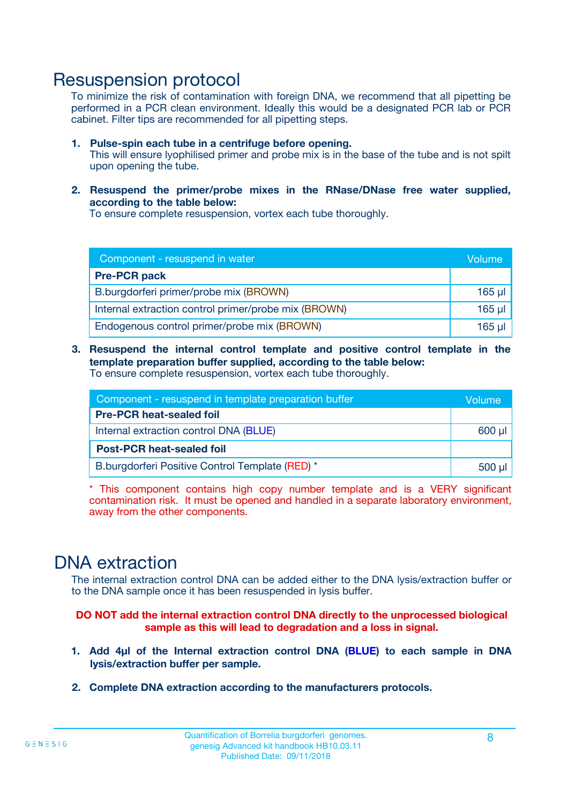### Resuspension protocol

To minimize the risk of contamination with foreign DNA, we recommend that all pipetting be performed in a PCR clean environment. Ideally this would be a designated PCR lab or PCR cabinet. Filter tips are recommended for all pipetting steps.

- **1. Pulse-spin each tube in a centrifuge before opening.** This will ensure lyophilised primer and probe mix is in the base of the tube and is not spilt upon opening the tube.
- **2. Resuspend the primer/probe mixes in the RNase/DNase free water supplied, according to the table below:**

To ensure complete resuspension, vortex each tube thoroughly.

| Component - resuspend in water                       |          |  |
|------------------------------------------------------|----------|--|
| <b>Pre-PCR pack</b>                                  |          |  |
| B.burgdorferi primer/probe mix (BROWN)               | $165$ µ  |  |
| Internal extraction control primer/probe mix (BROWN) | $165$ µl |  |
| Endogenous control primer/probe mix (BROWN)          | 165 µl   |  |

**3. Resuspend the internal control template and positive control template in the template preparation buffer supplied, according to the table below:** To ensure complete resuspension, vortex each tube thoroughly.

| Component - resuspend in template preparation buffer |  |  |  |
|------------------------------------------------------|--|--|--|
| <b>Pre-PCR heat-sealed foil</b>                      |  |  |  |
| Internal extraction control DNA (BLUE)               |  |  |  |
| <b>Post-PCR heat-sealed foil</b>                     |  |  |  |
| B.burgdorferi Positive Control Template (RED) *      |  |  |  |

\* This component contains high copy number template and is a VERY significant contamination risk. It must be opened and handled in a separate laboratory environment, away from the other components.

### DNA extraction

The internal extraction control DNA can be added either to the DNA lysis/extraction buffer or to the DNA sample once it has been resuspended in lysis buffer.

**DO NOT add the internal extraction control DNA directly to the unprocessed biological sample as this will lead to degradation and a loss in signal.**

- **1. Add 4µl of the Internal extraction control DNA (BLUE) to each sample in DNA lysis/extraction buffer per sample.**
- **2. Complete DNA extraction according to the manufacturers protocols.**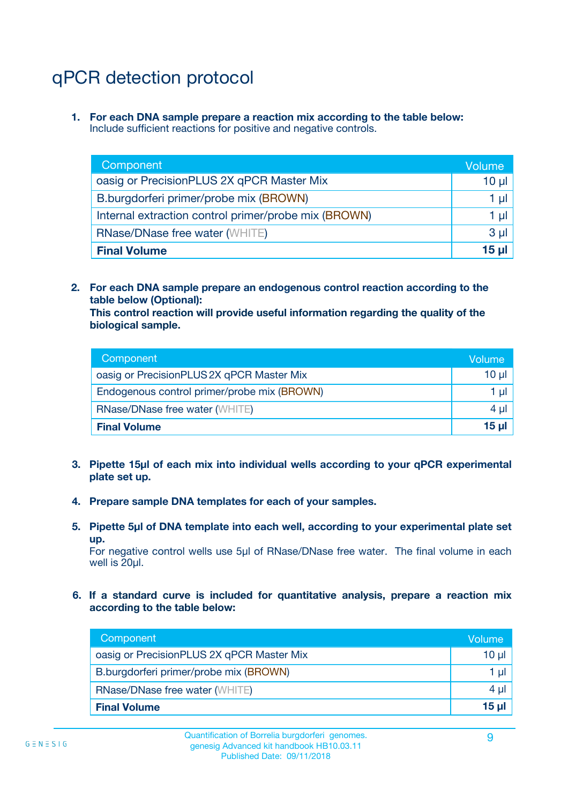## qPCR detection protocol

**1. For each DNA sample prepare a reaction mix according to the table below:** Include sufficient reactions for positive and negative controls.

| Component                                            | Volume   |
|------------------------------------------------------|----------|
| oasig or PrecisionPLUS 2X qPCR Master Mix            | $10 \mu$ |
| B.burgdorferi primer/probe mix (BROWN)               | 1 µI l   |
| Internal extraction control primer/probe mix (BROWN) | 1 µl     |
| <b>RNase/DNase free water (WHITE)</b>                | $3 \mu$  |
| <b>Final Volume</b>                                  | 15 µl    |

**2. For each DNA sample prepare an endogenous control reaction according to the table below (Optional):**

**This control reaction will provide useful information regarding the quality of the biological sample.**

| Component                                   | Volume   |
|---------------------------------------------|----------|
| oasig or PrecisionPLUS 2X qPCR Master Mix   | $10 \mu$ |
| Endogenous control primer/probe mix (BROWN) | 1 µI     |
| <b>RNase/DNase free water (WHITE)</b>       | $4 \mu$  |
| <b>Final Volume</b>                         | 15 µl    |

- **3. Pipette 15µl of each mix into individual wells according to your qPCR experimental plate set up.**
- **4. Prepare sample DNA templates for each of your samples.**
- **5. Pipette 5µl of DNA template into each well, according to your experimental plate set up.**

For negative control wells use 5µl of RNase/DNase free water. The final volume in each well is 20ul.

**6. If a standard curve is included for quantitative analysis, prepare a reaction mix according to the table below:**

| Component                                 | Volume   |
|-------------------------------------------|----------|
| oasig or PrecisionPLUS 2X qPCR Master Mix | 10 $\mu$ |
| B.burgdorferi primer/probe mix (BROWN)    | 1 µI I   |
| <b>RNase/DNase free water (WHITE)</b>     | $4 \mu$  |
| <b>Final Volume</b>                       | 15 µl    |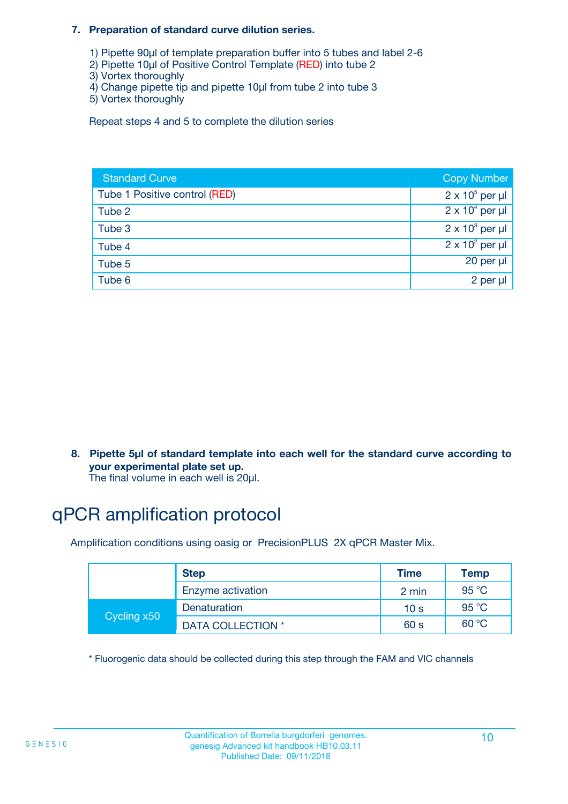#### **7. Preparation of standard curve dilution series.**

- 1) Pipette 90µl of template preparation buffer into 5 tubes and label 2-6
- 2) Pipette 10µl of Positive Control Template (RED) into tube 2
- 3) Vortex thoroughly
- 4) Change pipette tip and pipette 10µl from tube 2 into tube 3
- 5) Vortex thoroughly

Repeat steps 4 and 5 to complete the dilution series

| <b>Standard Curve</b>         | <b>Copy Number</b>     |
|-------------------------------|------------------------|
| Tube 1 Positive control (RED) | $2 \times 10^5$ per µl |
| Tube 2                        | $2 \times 10^4$ per µl |
| Tube 3                        | $2 \times 10^3$ per µl |
| Tube 4                        | $2 \times 10^2$ per µl |
| Tube 5                        | 20 per µl              |
| Tube 6                        | 2 per µl               |

**8. Pipette 5µl of standard template into each well for the standard curve according to your experimental plate set up.**

#### The final volume in each well is 20µl.

## qPCR amplification protocol

Amplification conditions using oasig or PrecisionPLUS 2X qPCR Master Mix.

|             | <b>Step</b>       | <b>Time</b>     | Temp    |
|-------------|-------------------|-----------------|---------|
|             | Enzyme activation | 2 min           | 95 °C   |
| Cycling x50 | Denaturation      | 10 <sub>s</sub> | 95 $°C$ |
|             | DATA COLLECTION * | 60 s            | 60 °C   |

\* Fluorogenic data should be collected during this step through the FAM and VIC channels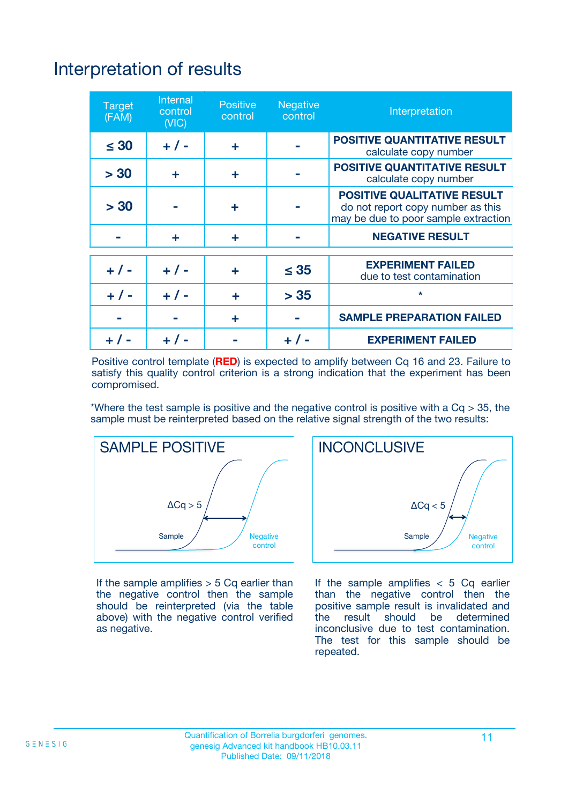## Interpretation of results

| <b>Target</b><br>(FAM) | <b>Internal</b><br>control<br>(NIC) | <b>Positive</b><br>control | <b>Negative</b><br>control | Interpretation                                                                                                  |
|------------------------|-------------------------------------|----------------------------|----------------------------|-----------------------------------------------------------------------------------------------------------------|
| $\leq 30$              | $+ 1 -$                             | ÷                          |                            | <b>POSITIVE QUANTITATIVE RESULT</b><br>calculate copy number                                                    |
| > 30                   | ٠                                   | ÷                          |                            | <b>POSITIVE QUANTITATIVE RESULT</b><br>calculate copy number                                                    |
| > 30                   |                                     | ÷                          |                            | <b>POSITIVE QUALITATIVE RESULT</b><br>do not report copy number as this<br>may be due to poor sample extraction |
|                        | ÷                                   | ÷                          |                            | <b>NEGATIVE RESULT</b>                                                                                          |
| $+ 1 -$                | $+ 1 -$                             | ÷                          | $\leq$ 35                  | <b>EXPERIMENT FAILED</b><br>due to test contamination                                                           |
| $+$ / -                | $+ 1 -$                             | ÷                          | > 35                       | $\star$                                                                                                         |
|                        |                                     | ÷                          |                            | <b>SAMPLE PREPARATION FAILED</b>                                                                                |
|                        |                                     |                            | $+$ /                      | <b>EXPERIMENT FAILED</b>                                                                                        |

Positive control template (**RED**) is expected to amplify between Cq 16 and 23. Failure to satisfy this quality control criterion is a strong indication that the experiment has been compromised.

\*Where the test sample is positive and the negative control is positive with a  $Ca > 35$ , the sample must be reinterpreted based on the relative signal strength of the two results:



If the sample amplifies  $> 5$  Cq earlier than the negative control then the sample should be reinterpreted (via the table above) with the negative control verified as negative.



If the sample amplifies  $< 5$  Cq earlier than the negative control then the positive sample result is invalidated and<br>the result should be determined  $the$  result should be inconclusive due to test contamination. The test for this sample should be repeated.